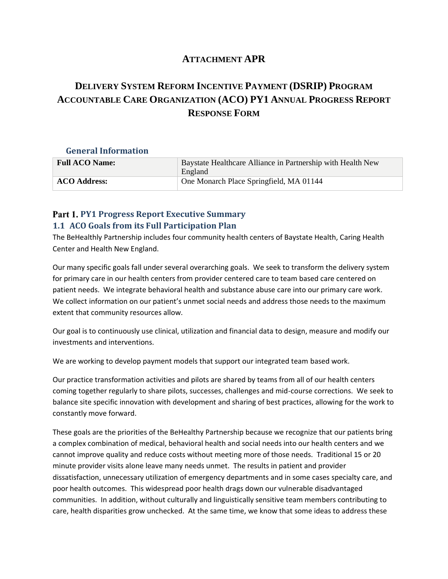### **ATTACHMENT APR**

# **DELIVERY SYSTEM REFORM INCENTIVE PAYMENT (DSRIP) PROGRAM ACCOUNTABLE CARE ORGANIZATION (ACO) PY1 ANNUAL PROGRESS REPORT RESPONSE FORM**

### **General Information**

| <b>Full ACO Name:</b> | Baystate Healthcare Alliance in Partnership with Health New<br>England |
|-----------------------|------------------------------------------------------------------------|
| <b>ACO Address:</b>   | One Monarch Place Springfield, MA 01144                                |

## Part 1. PY1 Progress Report Executive Summary **1.1 ACO Goals from its Full Participation Plan**

The BeHealthly Partnership includes four community health centers of Baystate Health, Caring Health Center and Health New England.

Our many specific goals fall under several overarching goals. We seek to transform the delivery system for primary care in our health centers from provider centered care to team based care centered on patient needs. We integrate behavioral health and substance abuse care into our primary care work. We collect information on our patient's unmet social needs and address those needs to the maximum extent that community resources allow.

Our goal is to continuously use clinical, utilization and financial data to design, measure and modify our investments and interventions.

We are working to develop payment models that support our integrated team based work.

Our practice transformation activities and pilots are shared by teams from all of our health centers coming together regularly to share pilots, successes, challenges and mid-course corrections. We seek to balance site specific innovation with development and sharing of best practices, allowing for the work to constantly move forward.

These goals are the priorities of the BeHealthy Partnership because we recognize that our patients bring a complex combination of medical, behavioral health and social needs into our health centers and we cannot improve quality and reduce costs without meeting more of those needs. Traditional 15 or 20 minute provider visits alone leave many needs unmet. The results in patient and provider dissatisfaction, unnecessary utilization of emergency departments and in some cases specialty care, and poor health outcomes. This widespread poor health drags down our vulnerable disadvantaged communities. In addition, without culturally and linguistically sensitive team members contributing to care, health disparities grow unchecked. At the same time, we know that some ideas to address these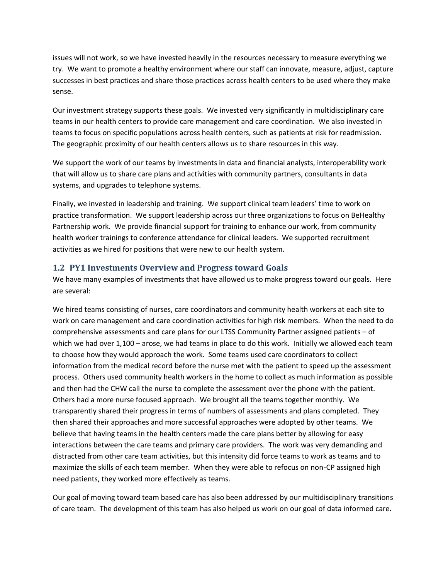issues will not work, so we have invested heavily in the resources necessary to measure everything we try. We want to promote a healthy environment where our staff can innovate, measure, adjust, capture successes in best practices and share those practices across health centers to be used where they make sense.

Our investment strategy supports these goals. We invested very significantly in multidisciplinary care teams in our health centers to provide care management and care coordination. We also invested in teams to focus on specific populations across health centers, such as patients at risk for readmission. The geographic proximity of our health centers allows us to share resources in this way.

We support the work of our teams by investments in data and financial analysts, interoperability work that will allow us to share care plans and activities with community partners, consultants in data systems, and upgrades to telephone systems.

Finally, we invested in leadership and training. We support clinical team leaders' time to work on practice transformation. We support leadership across our three organizations to focus on BeHealthy Partnership work. We provide financial support for training to enhance our work, from community health worker trainings to conference attendance for clinical leaders. We supported recruitment activities as we hired for positions that were new to our health system.

#### **1.2 PY1 Investments Overview and Progress toward Goals**

We have many examples of investments that have allowed us to make progress toward our goals. Here are several:

We hired teams consisting of nurses, care coordinators and community health workers at each site to work on care management and care coordination activities for high risk members. When the need to do comprehensive assessments and care plans for our LTSS Community Partner assigned patients – of which we had over 1,100 – arose, we had teams in place to do this work. Initially we allowed each team to choose how they would approach the work. Some teams used care coordinators to collect information from the medical record before the nurse met with the patient to speed up the assessment process. Others used community health workers in the home to collect as much information as possible and then had the CHW call the nurse to complete the assessment over the phone with the patient. Others had a more nurse focused approach. We brought all the teams together monthly. We transparently shared their progress in terms of numbers of assessments and plans completed. They then shared their approaches and more successful approaches were adopted by other teams. We believe that having teams in the health centers made the care plans better by allowing for easy interactions between the care teams and primary care providers. The work was very demanding and distracted from other care team activities, but this intensity did force teams to work as teams and to maximize the skills of each team member. When they were able to refocus on non-CP assigned high need patients, they worked more effectively as teams.

Our goal of moving toward team based care has also been addressed by our multidisciplinary transitions of care team. The development of this team has also helped us work on our goal of data informed care.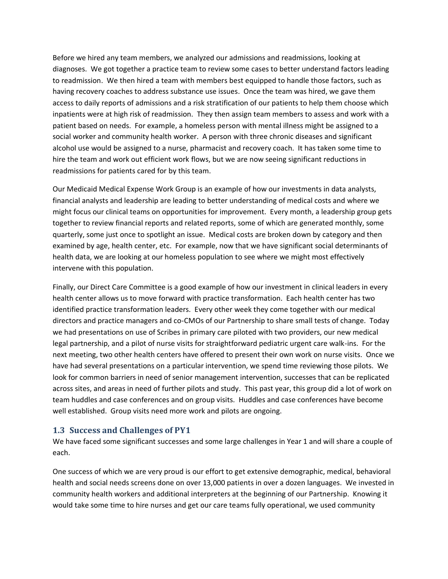Before we hired any team members, we analyzed our admissions and readmissions, looking at diagnoses. We got together a practice team to review some cases to better understand factors leading to readmission. We then hired a team with members best equipped to handle those factors, such as having recovery coaches to address substance use issues. Once the team was hired, we gave them access to daily reports of admissions and a risk stratification of our patients to help them choose which inpatients were at high risk of readmission. They then assign team members to assess and work with a patient based on needs. For example, a homeless person with mental illness might be assigned to a social worker and community health worker. A person with three chronic diseases and significant alcohol use would be assigned to a nurse, pharmacist and recovery coach. It has taken some time to hire the team and work out efficient work flows, but we are now seeing significant reductions in readmissions for patients cared for by this team.

Our Medicaid Medical Expense Work Group is an example of how our investments in data analysts, financial analysts and leadership are leading to better understanding of medical costs and where we might focus our clinical teams on opportunities for improvement. Every month, a leadership group gets together to review financial reports and related reports, some of which are generated monthly, some quarterly, some just once to spotlight an issue. Medical costs are broken down by category and then examined by age, health center, etc. For example, now that we have significant social determinants of health data, we are looking at our homeless population to see where we might most effectively intervene with this population.

Finally, our Direct Care Committee is a good example of how our investment in clinical leaders in every health center allows us to move forward with practice transformation. Each health center has two identified practice transformation leaders. Every other week they come together with our medical directors and practice managers and co-CMOs of our Partnership to share small tests of change. Today we had presentations on use of Scribes in primary care piloted with two providers, our new medical legal partnership, and a pilot of nurse visits for straightforward pediatric urgent care walk-ins. For the next meeting, two other health centers have offered to present their own work on nurse visits. Once we have had several presentations on a particular intervention, we spend time reviewing those pilots. We look for common barriers in need of senior management intervention, successes that can be replicated across sites, and areas in need of further pilots and study. This past year, this group did a lot of work on team huddles and case conferences and on group visits. Huddles and case conferences have become well established. Group visits need more work and pilots are ongoing.

#### **1.3 Success and Challenges of PY1**

We have faced some significant successes and some large challenges in Year 1 and will share a couple of each.

One success of which we are very proud is our effort to get extensive demographic, medical, behavioral health and social needs screens done on over 13,000 patients in over a dozen languages. We invested in community health workers and additional interpreters at the beginning of our Partnership. Knowing it would take some time to hire nurses and get our care teams fully operational, we used community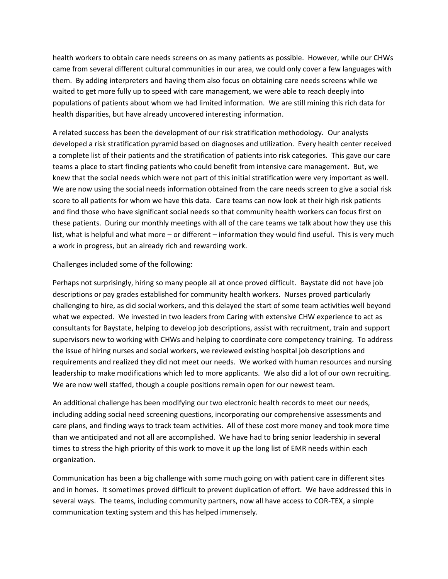health workers to obtain care needs screens on as many patients as possible. However, while our CHWs came from several different cultural communities in our area, we could only cover a few languages with them. By adding interpreters and having them also focus on obtaining care needs screens while we waited to get more fully up to speed with care management, we were able to reach deeply into populations of patients about whom we had limited information. We are still mining this rich data for health disparities, but have already uncovered interesting information.

A related success has been the development of our risk stratification methodology. Our analysts developed a risk stratification pyramid based on diagnoses and utilization. Every health center received a complete list of their patients and the stratification of patients into risk categories. This gave our care teams a place to start finding patients who could benefit from intensive care management. But, we knew that the social needs which were not part of this initial stratification were very important as well. We are now using the social needs information obtained from the care needs screen to give a social risk score to all patients for whom we have this data. Care teams can now look at their high risk patients and find those who have significant social needs so that community health workers can focus first on these patients. During our monthly meetings with all of the care teams we talk about how they use this list, what is helpful and what more – or different – information they would find useful. This is very much a work in progress, but an already rich and rewarding work.

Challenges included some of the following:

Perhaps not surprisingly, hiring so many people all at once proved difficult. Baystate did not have job descriptions or pay grades established for community health workers. Nurses proved particularly challenging to hire, as did social workers, and this delayed the start of some team activities well beyond what we expected. We invested in two leaders from Caring with extensive CHW experience to act as consultants for Baystate, helping to develop job descriptions, assist with recruitment, train and support supervisors new to working with CHWs and helping to coordinate core competency training. To address the issue of hiring nurses and social workers, we reviewed existing hospital job descriptions and requirements and realized they did not meet our needs. We worked with human resources and nursing leadership to make modifications which led to more applicants. We also did a lot of our own recruiting. We are now well staffed, though a couple positions remain open for our newest team.

An additional challenge has been modifying our two electronic health records to meet our needs, including adding social need screening questions, incorporating our comprehensive assessments and care plans, and finding ways to track team activities. All of these cost more money and took more time than we anticipated and not all are accomplished. We have had to bring senior leadership in several times to stress the high priority of this work to move it up the long list of EMR needs within each organization.

Communication has been a big challenge with some much going on with patient care in different sites and in homes. It sometimes proved difficult to prevent duplication of effort. We have addressed this in several ways. The teams, including community partners, now all have access to COR-TEX, a simple communication texting system and this has helped immensely.